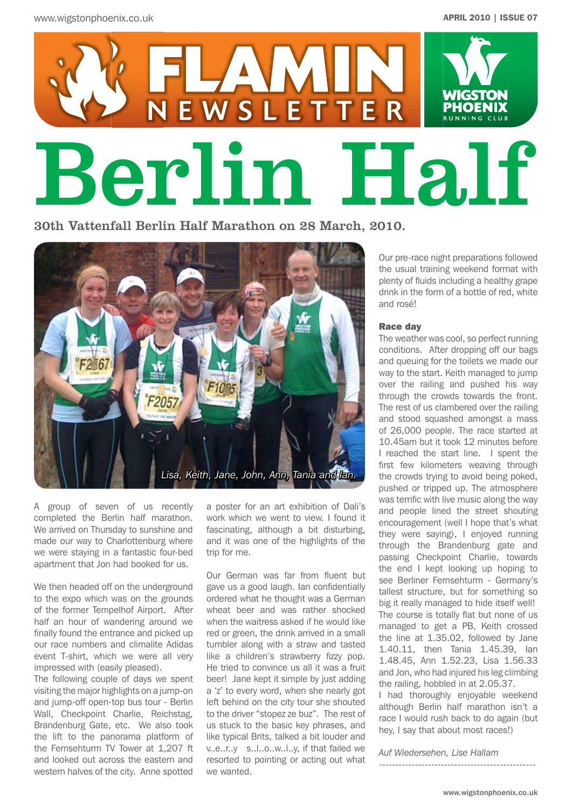

30th Vattenfall Berlin Half Marathon on 28 March, 2010.



A group of seven of us recently completed the Berlin half marathon. We arrived on Thursday to sunshine and made our way to Charlottenburg where we were staying in a fantastic four-bed apartment that Jon had booked for us.

We then headed off on the underground to the expo which was on the grounds of the former Tempelhof Airport. After half an hour of wandering around we finally found the entrance and picked up our race numbers and climalite Adidas event T-shirt, which we were all very impressed with (easily pleased).

The following couple of days we spent visiting the major highlights on a jump-on and jump-off open-top bus tour - Berlin Wall, Checkpoint Charlie, Reichstag, Brandenburg Gate, etc. We also took the lift to the panorama platform of the Fernsehturm TV Tower at 1,207 ft and looked out across the eastern and western halves of the city. Anne spotted

a poster for an art exhibition of Dali's work which we went to view. I found it fascinating, although a bit disturbing, and it was one of the highlights of the trip for me.

Our German was far from fluent but gave us a good laugh. Ian confidentially ordered what he thought was a German wheat beer and was rather shocked when the waitress asked if he would like red or green, the drink arrived in a small tumbler along with a straw and tasted like a children's strawberry fizzy pop. He tried to convince us all it was a fruit beer! Jane kept it simple by just adding a 'z' to every word, when she nearly got left behind on the city tour she shouted to the driver "stopez ze buz". The rest of us stuck to the basic key phrases, and like typical Brits, talked a bit louder and v..e..r..y s..l..o..w..l..y, if that failed we resorted to pointing or acting out what we wanted.

Our pre-race night preparations followed the usual training weekend format with plenty of fluids including a healthy grape drink in the form of a bottle of red, white and rosé!

### Race day

The weather was cool, so perfect running conditions. After dropping off our bags and queuing for the toilets we made our way to the start. Keith managed to jump over the railing and pushed his way through the crowds towards the front. The rest of us clambered over the railing and stood squashed amongst a mass of 26,000 people. The race started at 10.45am but it took 12 minutes before I reached the start line. I spent the first few kilometers weaving through the crowds trying to avoid being poked, pushed or tripped up. The atmosphere was terrific with live music along the way and people lined the street shouting encouragement (well I hope that's what they were saying), I enjoyed running through the Brandenburg gate and passing Checkpoint Charlie, towards the end I kept looking up hoping to see Berliner Fernsehturm - Germany's tallest structure, but for something so big it really managed to hide itself well! The course is totally flat but none of us managed to get a PB, Keith crossed the line at 1.35.02, followed by Jane 1.40.11, then Tania 1.45.39, Ian 1.48.45, Ann 1.52.23, Lisa 1.56.33 and Jon, who had injured his leg climbing the railing, hobbled in at 2.05.37.

I had thoroughly enjoyable weekend although Berlin half marathon isn't a race I would rush back to do again (but hey, I say that about most races!)

*Auf Wiedersehen, Lise Hallam*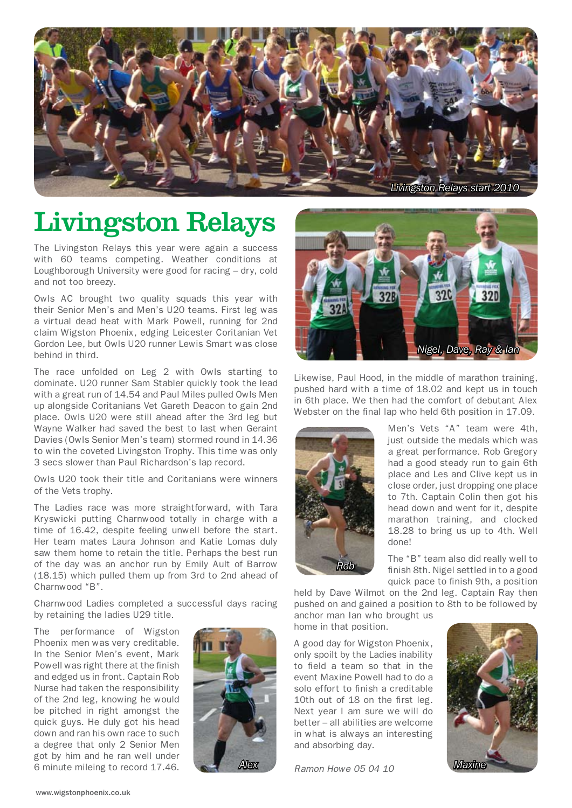

# Livingston Relays

The Livingston Relays this year were again a success with 60 teams competing. Weather conditions at Loughborough University were good for racing – dry, cold and not too breezy.

Owls AC brought two quality squads this year with their Senior Men's and Men's U20 teams. First leg was a virtual dead heat with Mark Powell, running for 2nd claim Wigston Phoenix, edging Leicester Coritanian Vet Gordon Lee, but Owls U20 runner Lewis Smart was close behind in third.

The race unfolded on Leg 2 with Owls starting to dominate. U20 runner Sam Stabler quickly took the lead with a great run of 14.54 and Paul Miles pulled Owls Men up alongside Coritanians Vet Gareth Deacon to gain 2nd place. Owls U20 were still ahead after the 3rd leg but Wayne Walker had saved the best to last when Geraint Davies (Owls Senior Men's team) stormed round in 14.36 to win the coveted Livingston Trophy. This time was only 3 secs slower than Paul Richardson's lap record.

Owls U20 took their title and Coritanians were winners of the Vets trophy.

The Ladies race was more straightforward, with Tara Kryswicki putting Charnwood totally in charge with a time of 16.42, despite feeling unwell before the start. Her team mates Laura Johnson and Katie Lomas duly saw them home to retain the title. Perhaps the best run of the day was an anchor run by Emily Ault of Barrow (18.15) which pulled them up from 3rd to 2nd ahead of Charnwood "B".

Charnwood Ladies completed a successful days racing by retaining the ladies U29 title.

The performance of Wigston Phoenix men was very creditable. In the Senior Men's event, Mark Powell was right there at the finish and edged us in front. Captain Rob Nurse had taken the responsibility of the 2nd leg, knowing he would be pitched in right amongst the quick guys. He duly got his head down and ran his own race to such a degree that only 2 Senior Men got by him and he ran well under 6 minute mileing to record 17.46.





Likewise, Paul Hood, in the middle of marathon training, pushed hard with a time of 18.02 and kept us in touch in 6th place. We then had the comfort of debutant Alex Webster on the final lap who held 6th position in 17.09.



Men's Vets "A" team were 4th, just outside the medals which was a great performance. Rob Gregory had a good steady run to gain 6th place and Les and Clive kept us in close order, just dropping one place to 7th. Captain Colin then got his head down and went for it, despite marathon training, and clocked 18.28 to bring us up to 4th. Well done!

The "B" team also did really well to finish 8th. Nigel settled in to a good quick pace to finish 9th, a position

held by Dave Wilmot on the 2nd leg. Captain Ray then pushed on and gained a position to 8th to be followed by anchor man Ian who brought us home in that position.

A good day for Wigston Phoenix, only spoilt by the Ladies inability to field a team so that in the event Maxine Powell had to do a solo effort to finish a creditable 10th out of 18 on the first leg. Next year I am sure we will do better – all abilities are welcome in what is always an interesting and absorbing day.

*Ramon Howe 05 04 10 Alex Maxine*

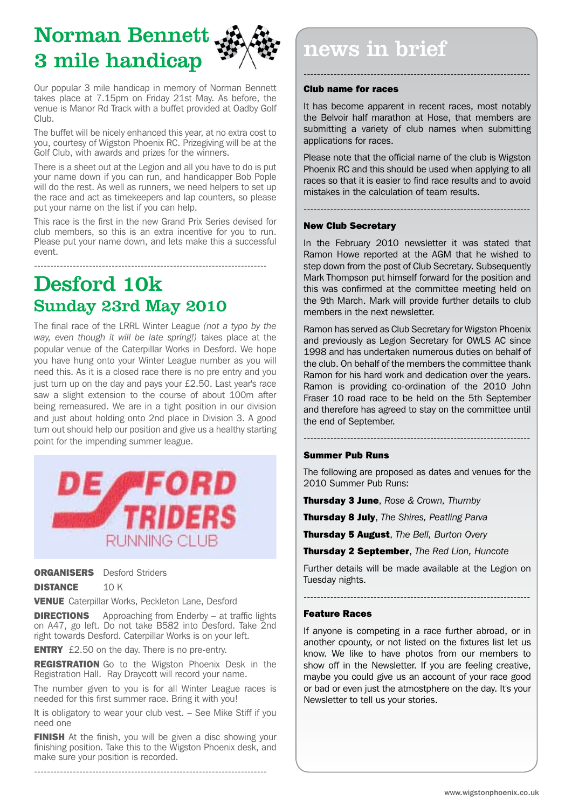Norman Bennett 3 mile handicap



Our popular 3 mile handicap in memory of Norman Bennett takes place at 7.15pm on Friday 21st May. As before, the venue is Manor Rd Track with a buffet provided at Oadby Golf Club.

The buffet will be nicely enhanced this year, at no extra cost to you, courtesy of Wigston Phoenix RC. Prizegiving will be at the Golf Club, with awards and prizes for the winners.

There is a sheet out at the Legion and all you have to do is put your name down if you can run, and handicapper Bob Pople will do the rest. As well as runners, we need helpers to set up the race and act as timekeepers and lap counters, so please put your name on the list if you can help.

This race is the first in the new Grand Prix Series devised for club members, so this is an extra incentive for you to run. Please put your name down, and lets make this a successful event.

------------------------------------------------------------------------

# Desford 10k Sunday 23rd May 2010

The final race of the LRRL Winter League *(not a typo by the way, even though it will be late spring!)* takes place at the popular venue of the Caterpillar Works in Desford. We hope you have hung onto your Winter League number as you will need this. As it is a closed race there is no pre entry and you just turn up on the day and pays your £2.50. Last year's race saw a slight extension to the course of about 100m after being remeasured. We are in a tight position in our division and just about holding onto 2nd place in Division 3. A good turn out should help our position and give us a healthy starting point for the impending summer league.



**ORGANISERS** Desford Striders

DISTANCE 10 K

**VENUE** Caterpillar Works, Peckleton Lane, Desford

**DIRECTIONS** Approaching from Enderby – at traffic lights on A47, go left. Do not take B582 into Desford. Take 2nd right towards Desford. Caterpillar Works is on your left.

**ENTRY** £2.50 on the day. There is no pre-entry.

**REGISTRATION** Go to the Wigston Phoenix Desk in the Registration Hall. Ray Draycott will record your name.

The number given to you is for all Winter League races is needed for this first summer race. Bring it with you!

It is obligatory to wear your club vest. – See Mike Stiff if you need one

FINISH At the finish, you will be given a disc showing your finishing position. Take this to the Wigston Phoenix desk, and make sure your position is recorded. 

------------------------------------------------------------------------

news in brief

## Club name for races

It has become apparent in recent races, most notably the Belvoir half marathon at Hose, that members are submitting a variety of club names when submitting applications for races.

--------------------------------------------------------------------

Please note that the official name of the club is Wigston Phoenix RC and this should be used when applying to all races so that it is easier to find race results and to avoid mistakes in the calculation of team results.

--------------------------------------------------------------------

## New Club Secretary

In the February 2010 newsletter it was stated that Ramon Howe reported at the AGM that he wished to step down from the post of Club Secretary. Subsequently Mark Thompson put himself forward for the position and this was confirmed at the committee meeting held on the 9th March. Mark will provide further details to club members in the next newsletter.

Ramon has served as Club Secretary for Wigston Phoenix and previously as Legion Secretary for OWLS AC since 1998 and has undertaken numerous duties on behalf of the club. On behalf of the members the committee thank Ramon for his hard work and dedication over the years. Ramon is providing co-ordination of the 2010 John Fraser 10 road race to be held on the 5th September and therefore has agreed to stay on the committee until the end of September.

## Summer Pub Runs

The following are proposed as dates and venues for the 2010 Summer Pub Runs:

--------------------------------------------------------------------

Thursday 3 June, *Rose & Crown, Thurnby*

Thursday 8 July, *The Shires, Peatling Parva*

Thursday 5 August, *The Bell, Burton Overy*

Thursday 2 September, *The Red Lion, Huncote*

Further details will be made available at the Legion on Tuesday nights.

--------------------------------------------------------------------

## Feature Races

If anyone is competing in a race further abroad, or in another cpounty, or not listed on the fixtures list let us know. We like to have photos from our members to show off in the Newsletter. If you are feeling creative, maybe you could give us an account of your race good or bad or even just the atmostphere on the day. It's your Newsletter to tell us your stories.